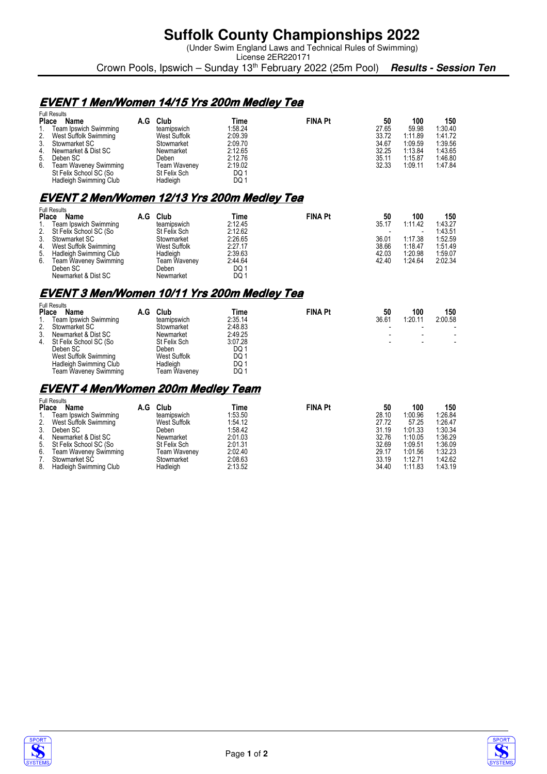## **Suffolk County Championships 2022**

(Under Swim England Laws and Technical Rules of Swimming)

License 2ER220171 Crown Pools, Ipswich – Sunday 13<sup>th</sup> February 2022 (25m Pool) **Results - Session Ten** 

### **EVENT1 Men/Women 14/15 Yrs 200m Medley Tea 1 200m Tea**

|    | <b>Full Results</b>          |     |              |         |                |       |         |         |
|----|------------------------------|-----|--------------|---------|----------------|-------|---------|---------|
|    | <b>Place</b><br>Name         | A.G | Club         | Time    | <b>FINA Pt</b> | 50    | 100     | 150     |
| 1. | Team Ipswich Swimming        |     | teamipswich  | 1:58.24 |                | 27.65 | 59.98   | 1:30.40 |
|    | 2. West Suffolk Swimming     |     | West Suffolk | 2:09.39 |                | 33.72 | 1:11.89 | 1:41.72 |
| 3. | Stowmarket SC                |     | Stowmarket   | 2:09.70 |                | 34.67 | 1:09.59 | 1:39.56 |
|    | 4. Newmarket & Dist SC       |     | Newmarket    | 2:12.65 |                | 32.25 | 1:13.84 | 1:43.65 |
|    | 5. Deben SC                  |     | Deben        | 2:12.76 |                | 35.11 | 1:15.87 | 1.46.80 |
| 6. | <b>Team Waveney Swimming</b> |     | Team Waveney | 2:19.02 |                | 32.33 | 1:09.11 | 1:47.84 |
|    | St Felix School SC (So       |     | St Felix Sch | DQ1     |                |       |         |         |
|    | Hadleigh Swimming Club       |     | Hadleigh     | DQ 1    |                |       |         |         |

## **EVENT2 Men/Women 12/13 Yrs 200m Medley Tea 2 Men/Women 12/13 Yrs 200m Tea 2 200m Tea**

|              | <b>Full Results</b>          |     |              |         |                |       |         |         |
|--------------|------------------------------|-----|--------------|---------|----------------|-------|---------|---------|
| <b>Place</b> | Name                         | A.G | Club         | Time    | <b>FINA Pt</b> | 50    | 100     | 150     |
| 1.           | Team Ipswich Swimming        |     | teamipswich  | 2:12.45 |                | 35.17 | 1:11.42 | 1:43.27 |
|              | 2. St Felix School SC (So    |     | St Felix Sch | 2:12.62 |                |       |         | 1:43.51 |
| 3.           | Stowmarket SC                |     | Stowmarket   | 2:26.65 |                | 36.01 | 1:17.38 | 1:52.59 |
| 4.           | West Suffolk Swimming        |     | West Suffolk | 2:27.17 |                | 38.66 | 1:18.47 | 1:51.49 |
|              | 5. Hadleigh Swimming Club    |     | Hadleigh     | 2:39.63 |                | 42.03 | 1:20.98 | 1:59.07 |
| 6.           | <b>Team Waveney Swimming</b> |     | Team Waveney | 2:44.64 |                | 42.40 | 1:24.64 | 2:02.34 |
|              | Deben SC                     |     | Deben        | DQ1     |                |       |         |         |
|              | Newmarket & Dist SC          |     | Newmarket    | DQ1     |                |       |         |         |

### **EVENT3 Men/Women 10/11 Yrs 200m Medley Tea 3 Men/Women 10/11 Yrs 200m Medley Tea3 200m Tea**

|                | <b>Full Results</b>    |     |              |         |                |       |         |         |
|----------------|------------------------|-----|--------------|---------|----------------|-------|---------|---------|
| <b>Place</b>   | <b>Name</b>            | A.G | Club         | Time    | <b>FINA Pt</b> | 50    | 100     | 150     |
|                | Team Ipswich Swimming  |     | teamipswich  | 2:35.14 |                | 36.61 | 1:20.11 | 2:00.58 |
| 2 <sub>1</sub> | Stowmarket SC          |     | Stowmarket   | 2:48.83 |                |       |         |         |
| 3.             | Newmarket & Dist SC    |     | Newmarket    | 2:49.25 |                |       |         |         |
| 4.             | St Felix School SC (So |     | St Felix Sch | 3:07.28 |                |       |         |         |
|                | Deben SC               |     | Deben        | DQ 1    |                |       |         |         |
|                | West Suffolk Swimming  |     | West Suffolk | DQ 1    |                |       |         |         |
|                | Hadleigh Swimming Club |     | Hadleigh     | DQ 1    |                |       |         |         |
|                | Team Waveney Swimming  |     | Team Wavenev | DQ 1    |                |       |         |         |

#### **EVENT 4 Men/Women 200m Medley Team**

|              | <b>Full Results</b>          |     |              |         |                |       |         |         |
|--------------|------------------------------|-----|--------------|---------|----------------|-------|---------|---------|
| <b>Place</b> | Name                         | A.G | Club         | Time    | <b>FINA Pt</b> | 50    | 100     | 150     |
|              | Team Ipswich Swimming        |     | teamipswich  | 1:53.50 |                | 28.10 | 1:00.96 | 1.26.84 |
| 2.           | West Suffolk Swimming        |     | West Suffolk | 1:54.12 |                | 27.72 | 57.25   | 1:26.47 |
| 3.           | Deben SC                     |     | Deben        | 1:58.42 |                | 31.19 | 1:01.33 | 1:30.34 |
| 4.           | Newmarket & Dist SC          |     | Newmarket    | 2:01.03 |                | 32.76 | 1:10.05 | 1:36.29 |
|              | 5. St Felix School SC (So    |     | St Felix Sch | 2:01.31 |                | 32.69 | 1:09.51 | 1:36.09 |
| 6.           | <b>Team Waveney Swimming</b> |     | Team Waveney | 2:02.40 |                | 29.17 | 1:01.56 | 1:32.23 |
|              | Stowmarket SC                |     | Stowmarket   | 2:08.63 |                | 33.19 | 1:12.71 | 1:42.62 |
| 8.           | Hadleigh Swimming Club       |     | Hadleigh     | 2:13.52 |                | 34.40 | 1:11.83 | 1:43.19 |